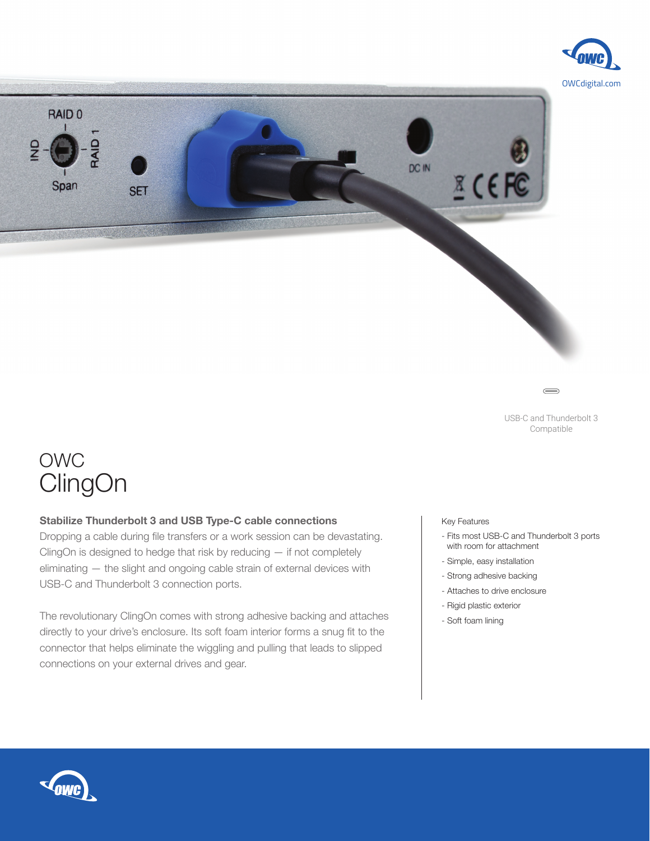



USB-C and Thunderbolt 3 Compatible

 $\equiv$ 

# OWC **ClingOn**

## **Stabilize Thunderbolt 3 and USB Type-C cable connections**

Dropping a cable during file transfers or a work session can be devastating. ClingOn is designed to hedge that risk by reducing — if not completely eliminating — the slight and ongoing cable strain of external devices with USB-C and Thunderbolt 3 connection ports.

The revolutionary ClingOn comes with strong adhesive backing and attaches directly to your drive's enclosure. Its soft foam interior forms a snug fit to the connector that helps eliminate the wiggling and pulling that leads to slipped connections on your external drives and gear.

Key Features

- Fits most USB-C and Thunderbolt 3 ports with room for attachment
- Simple, easy installation
- Strong adhesive backing
- Attaches to drive enclosure
- Rigid plastic exterior
- Soft foam lining